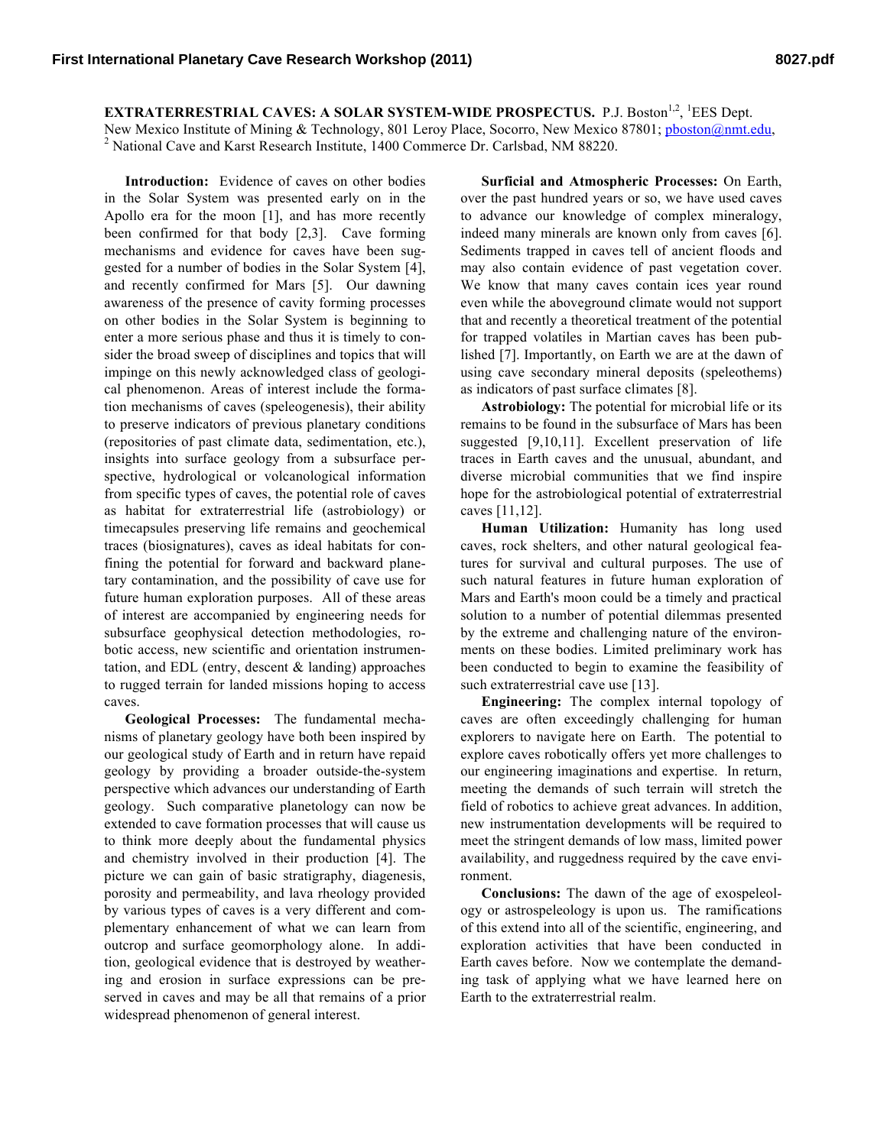**EXTRATERRESTRIAL CAVES: A SOLAR SYSTEM-WIDE PROSPECTUS.** P.J. Boston<sup>1,2</sup>, <sup>1</sup>EES Dept.

New Mexico Institute of Mining & Technology, 801 Leroy Place, Socorro, New Mexico 87801; pboston@nmt.edu, <sup>2</sup> National Cave and Karst Research Institute, 1400 Commerce Dr. Carlsbad, NM 88220.

**Introduction:** Evidence of caves on other bodies in the Solar System was presented early on in the Apollo era for the moon [1], and has more recently been confirmed for that body [2,3]. Cave forming mechanisms and evidence for caves have been suggested for a number of bodies in the Solar System [4], and recently confirmed for Mars [5]. Our dawning awareness of the presence of cavity forming processes on other bodies in the Solar System is beginning to enter a more serious phase and thus it is timely to consider the broad sweep of disciplines and topics that will impinge on this newly acknowledged class of geological phenomenon. Areas of interest include the formation mechanisms of caves (speleogenesis), their ability to preserve indicators of previous planetary conditions (repositories of past climate data, sedimentation, etc.), insights into surface geology from a subsurface perspective, hydrological or volcanological information from specific types of caves, the potential role of caves as habitat for extraterrestrial life (astrobiology) or timecapsules preserving life remains and geochemical traces (biosignatures), caves as ideal habitats for confining the potential for forward and backward planetary contamination, and the possibility of cave use for future human exploration purposes. All of these areas of interest are accompanied by engineering needs for subsurface geophysical detection methodologies, robotic access, new scientific and orientation instrumentation, and EDL (entry, descent & landing) approaches to rugged terrain for landed missions hoping to access caves.

**Geological Processes:** The fundamental mechanisms of planetary geology have both been inspired by our geological study of Earth and in return have repaid geology by providing a broader outside-the-system perspective which advances our understanding of Earth geology. Such comparative planetology can now be extended to cave formation processes that will cause us to think more deeply about the fundamental physics and chemistry involved in their production [4]. The picture we can gain of basic stratigraphy, diagenesis, porosity and permeability, and lava rheology provided by various types of caves is a very different and complementary enhancement of what we can learn from outcrop and surface geomorphology alone. In addition, geological evidence that is destroyed by weathering and erosion in surface expressions can be preserved in caves and may be all that remains of a prior widespread phenomenon of general interest.

**Surficial and Atmospheric Processes:** On Earth, over the past hundred years or so, we have used caves to advance our knowledge of complex mineralogy, indeed many minerals are known only from caves [6]. Sediments trapped in caves tell of ancient floods and may also contain evidence of past vegetation cover. We know that many caves contain ices year round even while the aboveground climate would not support that and recently a theoretical treatment of the potential for trapped volatiles in Martian caves has been published [7]. Importantly, on Earth we are at the dawn of using cave secondary mineral deposits (speleothems) as indicators of past surface climates [8].

**Astrobiology:** The potential for microbial life or its remains to be found in the subsurface of Mars has been suggested [9,10,11]. Excellent preservation of life traces in Earth caves and the unusual, abundant, and diverse microbial communities that we find inspire hope for the astrobiological potential of extraterrestrial caves [11,12].

**Human Utilization:** Humanity has long used caves, rock shelters, and other natural geological features for survival and cultural purposes. The use of such natural features in future human exploration of Mars and Earth's moon could be a timely and practical solution to a number of potential dilemmas presented by the extreme and challenging nature of the environments on these bodies. Limited preliminary work has been conducted to begin to examine the feasibility of such extraterrestrial cave use [13].

**Engineering:** The complex internal topology of caves are often exceedingly challenging for human explorers to navigate here on Earth. The potential to explore caves robotically offers yet more challenges to our engineering imaginations and expertise. In return, meeting the demands of such terrain will stretch the field of robotics to achieve great advances. In addition, new instrumentation developments will be required to meet the stringent demands of low mass, limited power availability, and ruggedness required by the cave environment.

**Conclusions:** The dawn of the age of exospeleology or astrospeleology is upon us. The ramifications of this extend into all of the scientific, engineering, and exploration activities that have been conducted in Earth caves before. Now we contemplate the demanding task of applying what we have learned here on Earth to the extraterrestrial realm.